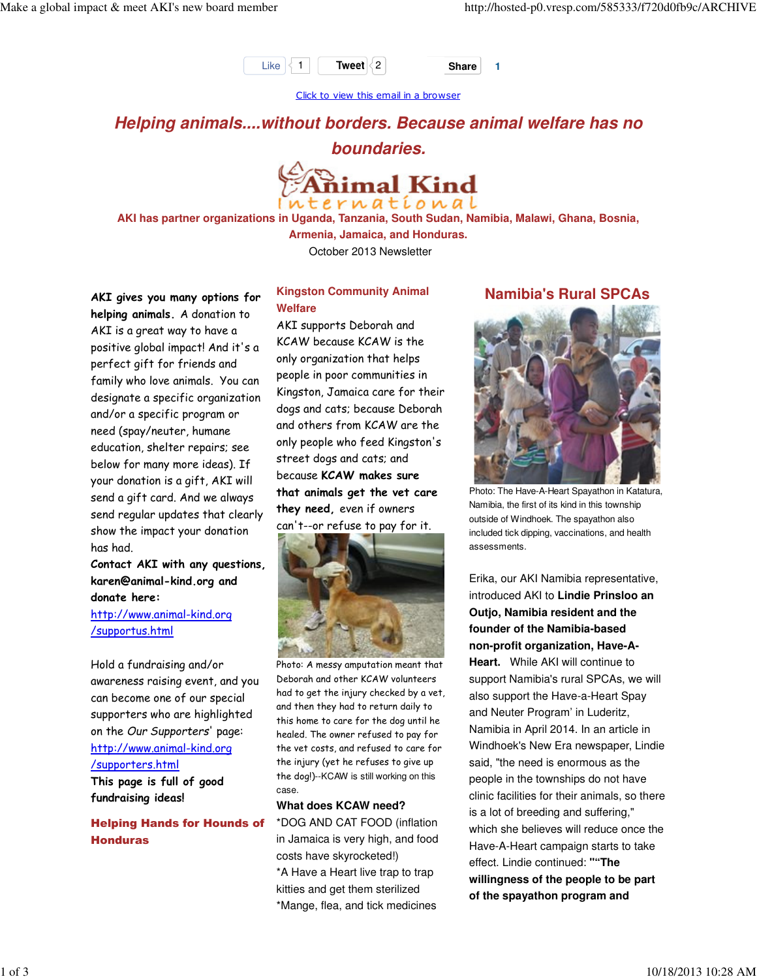

Click to view this email in a browser

**Helping animals....without borders. Because animal welfare has no boundaries.**



**AKI has partner organizations in Uganda, Tanzania, South Sudan, Namibia, Malawi, Ghana, Bosnia,**

**Armenia, Jamaica, and Honduras.**

October 2013 Newsletter

AKI gives you many options for helping animals. A donation to AKI is a great way to have a positive global impact! And it's a perfect gift for friends and family who love animals. You can designate a specific organization and/or a specific program or need (spay/neuter, humane education, shelter repairs; see below for many more ideas). If your donation is a gift, AKI will send a gift card. And we always send regular updates that clearly show the impact your donation has had.

Contact AKI with any questions, karen@animal-kind.org and donate here:

http://www.animal-kind.org /supportus.html

Hold a fundraising and/or awareness raising event, and you can become one of our special supporters who are highlighted on the Our Supporters' page: http://www.animal-kind.org /supporters.html

This page is full of good fundraising ideas!

### Helping Hands for Hounds of Honduras

### **Kingston Community Animal Welfare**

AKI supports Deborah and KCAW because KCAW is the only organization that helps people in poor communities in Kingston, Jamaica care for their dogs and cats; because Deborah and others from KCAW are the only people who feed Kingston's street dogs and cats; and because KCAW makes sure that animals get the vet care they need, even if owners can't--or refuse to pay for it.



Photo: A messy amputation meant that Deborah and other KCAW volunteers had to get the injury checked by a vet, and then they had to return daily to this home to care for the dog until he healed. The owner refused to pay for the vet costs, and refused to care for the injury (yet he refuses to give up the dog!)--KCAW is still working on this case.

#### **What does KCAW need?**

\*DOG AND CAT FOOD (inflation in Jamaica is very high, and food costs have skyrocketed!) \*A Have a Heart live trap to trap kitties and get them sterilized \*Mange, flea, and tick medicines

## **Namibia's Rural SPCAs**



Photo: The Have-A-Heart Spayathon in Katatura, Namibia, the first of its kind in this township outside of Windhoek. The spayathon also included tick dipping, vaccinations, and health assessments.

Erika, our AKI Namibia representative, introduced AKI to **Lindie Prinsloo an Outjo, Namibia resident and the founder of the Namibia-based non-profit organization, Have-A-Heart.** While AKI will continue to support Namibia's rural SPCAs, we will also support the Have-a-Heart Spay and Neuter Program' in Luderitz, Namibia in April 2014. In an article in Windhoek's New Era newspaper, Lindie said, "the need is enormous as the people in the townships do not have clinic facilities for their animals, so there is a lot of breeding and suffering," which she believes will reduce once the Have-A-Heart campaign starts to take effect. Lindie continued: **""The willingness of the people to be part of the spayathon program and**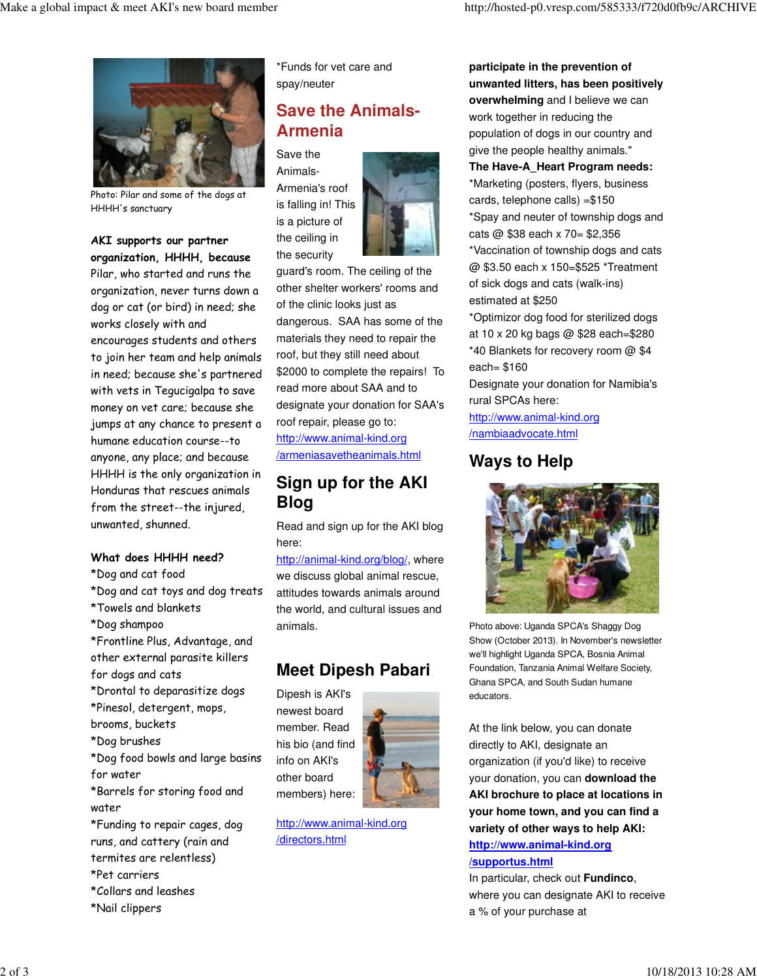

Photo: Pilar and some of the dogs at HHHH's sanctuary

#### AKI supports our partner organization, HHHH, because

Pilar, who started and runs the organization, never turns down a dog or cat (or bird) in need; she works closely with and encourages students and others to join her team and help animals in need; because she's partnered with vets in Tegucigalpa to save money on vet care; because she jumps at any chance to present a humane education course--to anyone, any place; and because HHHH is the only organization in Honduras that rescues animals from the street--the injured, unwanted, shunned.

### What does HHHH need?

- \*Dog and cat food
- \*Dog and cat toys and dog treats
- \*Towels and blankets
- \*Dog shampoo
- \*Frontline Plus, Advantage, and other external parasite killers for dogs and cats
- \*Drontal to deparasitize dogs \*Pinesol, detergent, mops,
- brooms, buckets
- \*Dog brushes
- \*Dog food bowls and large basins for water

\*Barrels for storing food and water

- \*Funding to repair cages, dog runs, and cattery (rain and termites are relentless) \*Pet carriers \*Collars and leashes
- \*Nail clippers

\*Funds for vet care and spay/neuter

# **Save the Animals-Armenia**

Save the Animals-Armenia's roof is falling in! This is a picture of the ceiling in the security



guard's room. The ceiling of the other shelter workers' rooms and of the clinic looks just as dangerous. SAA has some of the materials they need to repair the roof, but they still need about \$2000 to complete the repairs! To read more about SAA and to designate your donation for SAA's roof repair, please go to: http://www.animal-kind.org /armeniasavetheanimals.html

# **Sign up for the AKI Blog**

Read and sign up for the AKI blog here:

http://animal-kind.org/blog/, where we discuss global animal rescue, attitudes towards animals around the world, and cultural issues and animals.

# **Meet Dipesh Pabari**

Dipesh is AKI's newest board member. Read his bio (and find info on AKI's other board members) here:



http://www.animal-kind.org /directors.html

**participate in the prevention of unwanted litters, has been positively overwhelming** and I believe we can work together in reducing the population of dogs in our country and give the people healthy animals." **The Have-A\_Heart Program needs:** \*Marketing (posters, flyers, business cards, telephone calls) =\$150 \*Spay and neuter of township dogs and cats @ \$38 each x 70= \$2,356 \*Vaccination of township dogs and cats @ \$3.50 each x 150=\$525 \*Treatment of sick dogs and cats (walk-ins) estimated at \$250

\*Optimizor dog food for sterilized dogs at 10 x 20 kg bags @ \$28 each=\$280 \*40 Blankets for recovery room @ \$4 each= \$160

Designate your donation for Namibia's rural SPCAs here:

http://www.animal-kind.org /nambiaadvocate.html

## **Ways to Help**



Photo above: Uganda SPCA's Shaggy Dog Show (October 2013). In November's newsletter we'll highlight Uganda SPCA, Bosnia Animal Foundation, Tanzania Animal Welfare Society, Ghana SPCA, and South Sudan humane educators.

At the link below, you can donate directly to AKI, designate an organization (if you'd like) to receive your donation, you can **download the AKI brochure to place at locations in your home town, and you can find a variety of other ways to help AKI: http://www.animal-kind.org**

## **/supportus.html**

In particular, check out **Fundinco**, where you can designate AKI to receive a % of your purchase at